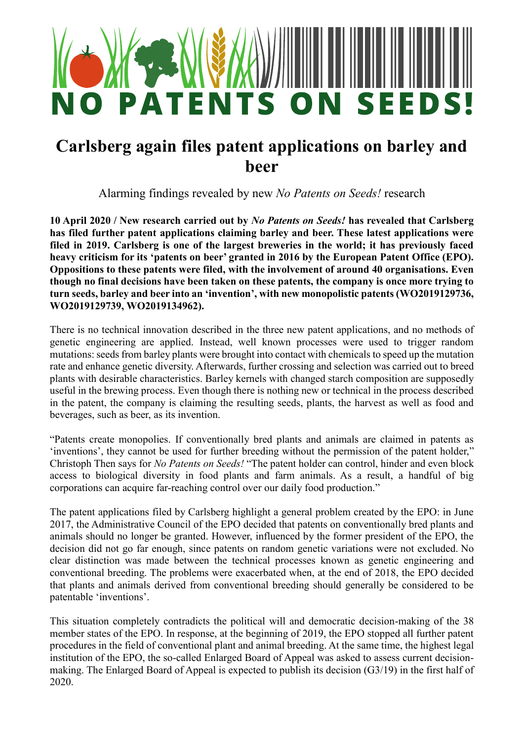

## **Carlsberg again files patent applications on barley and beer**

Alarming findings revealed by new *No Patents on Seeds!* research

**10 April 2020 / New research carried out by** *No Patents on Seeds!* **has revealed that Carlsberg has filed further patent applications claiming barley and beer. These latest applications were filed in 2019. Carlsberg is one of the largest breweries in the world; it has previously faced heavy criticism for its 'patents on beer' granted in 2016 by the European Patent Office (EPO). Oppositions to these patents were filed, with the involvement of around 40 organisations. Even though no final decisions have been taken on these patents, the company is once more trying to turn seeds, barley and beer into an 'invention', with new monopolistic patents (WO2019129736, WO2019129739, WO2019134962).** 

There is no technical innovation described in the three new patent applications, and no methods of genetic engineering are applied. Instead, well known processes were used to trigger random mutations: seeds from barley plants were brought into contact with chemicals to speed up the mutation rate and enhance genetic diversity. Afterwards, further crossing and selection was carried out to breed plants with desirable characteristics. Barley kernels with changed starch composition are supposedly useful in the brewing process. Even though there is nothing new or technical in the process described in the patent, the company is claiming the resulting seeds, plants, the harvest as well as food and beverages, such as beer, as its invention.

"Patents create monopolies. If conventionally bred plants and animals are claimed in patents as 'inventions', they cannot be used for further breeding without the permission of the patent holder," Christoph Then says for *No Patents on Seeds!* "The patent holder can control, hinder and even block access to biological diversity in food plants and farm animals. As a result, a handful of big corporations can acquire far-reaching control over our daily food production."

The patent applications filed by Carlsberg highlight a general problem created by the EPO: in June 2017, the Administrative Council of the EPO decided that patents on conventionally bred plants and animals should no longer be granted. However, influenced by the former president of the EPO, the decision did not go far enough, since patents on random genetic variations were not excluded. No clear distinction was made between the technical processes known as genetic engineering and conventional breeding. The problems were exacerbated when, at the end of 2018, the EPO decided that plants and animals derived from conventional breeding should generally be considered to be patentable 'inventions'.

This situation completely contradicts the political will and democratic decision-making of the 38 member states of the EPO. In response, at the beginning of 2019, the EPO stopped all further patent procedures in the field of conventional plant and animal breeding. At the same time, the highest legal institution of the EPO, the so-called Enlarged Board of Appeal was asked to assess current decisionmaking. The Enlarged Board of Appeal is expected to publish its decision (G3/19) in the first half of 2020.